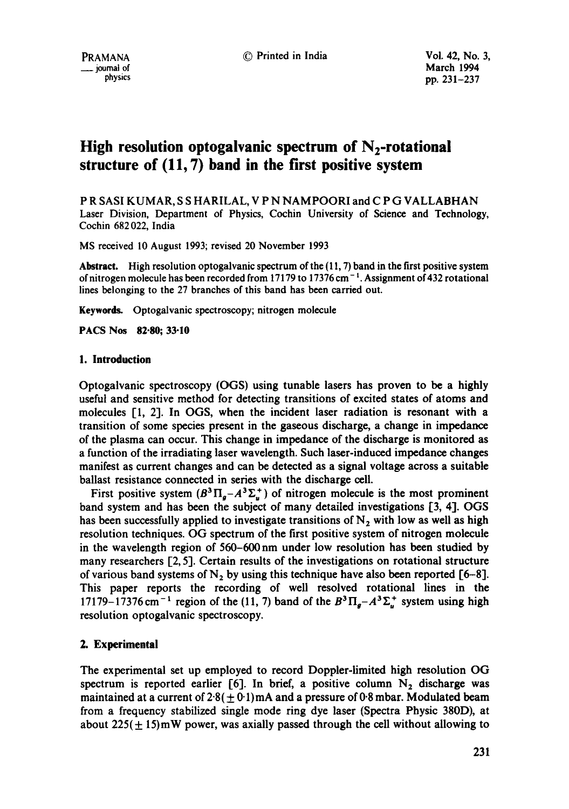# **High resolution optogalvanic spectrum of N2-rotational structure of (11, 7) band in the first positive system**

P R SASI KUMAR, S S HARILAL, V P N NAMPOORI and C P G VALLABHAN Laser Division, Department of Physics, Cochin University of Science and Technology, Cochin 682 022, India

MS received l0 August 1993; revised 20 November 1993

**Abstract.** High resolution optogalvanic spectrum of the (11, 7) band in the first positive system of nitrogen molecule has been recorded from 17179 to 17376 cm<sup> $-1$ </sup>. Assignment of 432 rotational lines belonging to the 27 branches of this band has been carried out.

Keywords. Optogalvanic spectroscopy; nitrogen molecule

**PACS Nos 82.80;** 33.10

### **1. Introduction**

Optogalvanic spectroscopy (OGS) using tunable lasers has proven to be a highly useful and sensitive method for detecting transitions of excited states of atoms and molecules [1, 2]. In OGS, when the incident laser radiation is resonant with a transition of some species present in the gaseous discharge, a change in impedance of the plasma can occur. This change in impedance of the discharge is monitored as a function of the irradiating laser wavelength. Such laser-induced impedance changes manifest as current changes and can be detected as a signal voltage across a suitable ballast resistance connected in series with the discharge cell.

First positive system  $(B^3\Pi_g - A^3\Sigma_u^+)$  of nitrogen molecule is the most prominent band system and has been the subject of many detailed investigations [3, 4]. OGS has been successfully applied to investigate transitions of  $N_2$  with low as well as high resolution techniques. OG spectrum of the first positive system of nitrogen molecule in the wavelength region of 560-600 nm under low resolution has been studied by many researchers [2, 5]. Certain results of the investigations on rotational structure of various band systems of  $N_2$  by using this technique have also been reported [6-8]. This paper reports the recording of well resolved rotational lines in the 17179-17376 cm<sup>-1</sup> region of the (11, 7) band of the  $B^3\Pi_g-A^3\Sigma_u^+$  system using high resolution optogalvanic spectroscopy.

## **2. Experimental**

The experimental set up employed to record Doppler-limited high resolution OG spectrum is reported earlier [6]. In brief, a positive column  $N_2$  discharge was maintained at a current of  $2.8(\pm 0.1)$  mA and a pressure of 0.8 mbar. Modulated beam from a frequency stabilized single mode ring dye laser (Spectra Physic 380D), at about  $225(+15)$ mW power, was axially passed through the cell without allowing to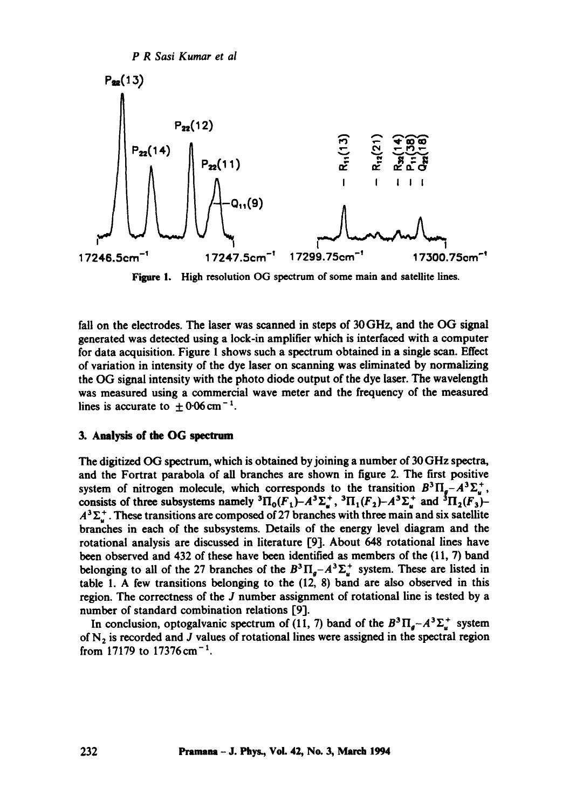

Figure 1. High resolution OG spectrum of some main and satellite lines.

fall on the electrodes. The laser was scanned in steps of 30 GHz, and the OG signal generated was detected using a lock-in amplifier which is interfaced with a computer for data acquisition. Figure 1 shows such a spectrum obtained in a single scan. Effect of variation in intensity of the dye laser on scanning was eliminated by normalizing the OG signal intensity with the photo diode output of the dye laser. The wavelength was measured using a commercial wave meter and the frequency of the measured lines is accurate to  $\pm 0.06$  cm<sup>-1</sup>.

#### 3. Analysis of the OG **spectrum**

The digitized OG spectrum, which is obtained by joining a number of 30 GHz spectra, and the Fortrat parabola of all branches are shown in figure 2. The first positive system of nitrogen molecule, which corresponds to the transition  $B^3\Pi_a-A^3\Sigma_a^+$ , consists of three subsystems namely  ${}^3\Pi_0(F_1)-A^3\Sigma^+_n$ ,  ${}^3\Pi_1(F_2)-A^3\Sigma^+_n$  and  ${}^3\Pi_2(F_3)-A^3\Sigma^+_n$  $A<sup>3</sup>\Sigma<sup>+</sup>$ . These transitions are composed of 27 branches with three main and six satellite branches in each of the subsystems. Details of the energy level diagram and the rotational analysis are discussed in literature [9]. About 648 rotational lines have been observed and 432 of these have been identified as members of the (11, 7) band belonging to all of the 27 branches of the  $B^3\Pi_a-A^3\Sigma_a^+$  system. These are listed in table 1. A few transitions belonging to the (12, 8) band are also observed in this region. The correctness of the J number assignment of rotational line is tested by a number of standard combination relations [9].

In conclusion, optogalvanic spectrum of (11, 7) band of the  $B^3\Pi_{a}-A^3\Sigma_{u}^{+}$  system of  $N_2$  is recorded and J values of rotational lines were assigned in the spectral region from 17179 to  $17376 \text{ cm}^{-1}$ .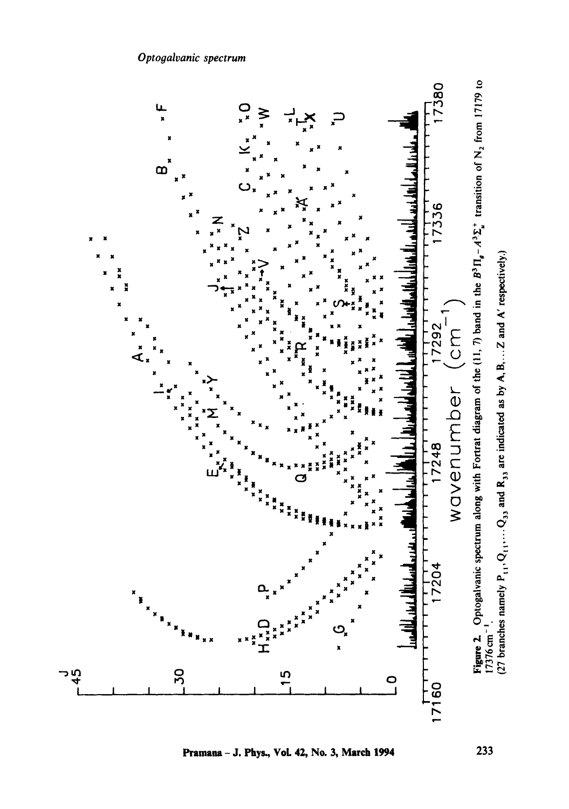

**Pramana - J. Phys., VoL 42, No. 3, March 1994 233**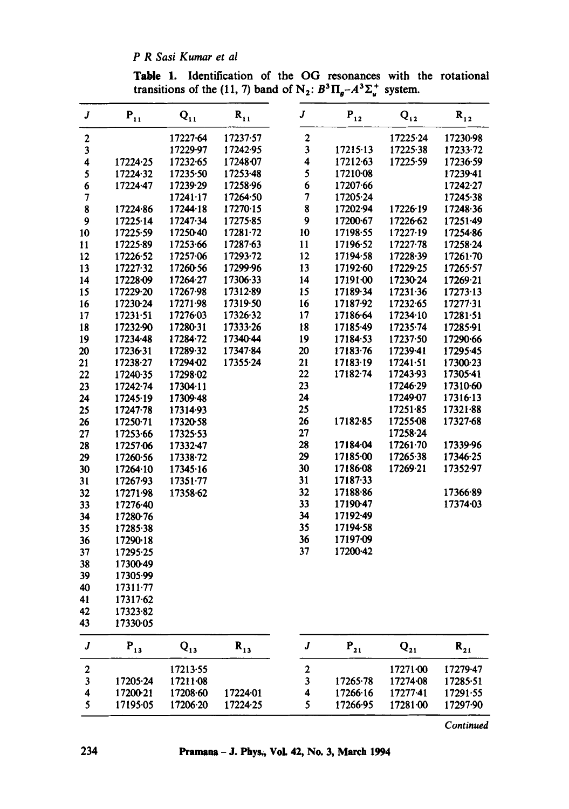*P R Sasi Kumar et al* 

Table 1. Identification of the OG resonances with the rotational transitions of the (11, 7) band of N<sub>2</sub>:  $B^3\Pi_{\mathfrak{g}}-A^3\Sigma_{\mathfrak{u}}^+$  system.

| J                       | $\mathbf{P_{11}}$ | $\mathbf{Q_{11}}$ | $\mathbf{R}_{11}$ | $\boldsymbol{J}$        | $\mathbf{P_{12}}$ | $\mathbf{Q_{12}}$ | $\mathbf{R}_{12}$ |
|-------------------------|-------------------|-------------------|-------------------|-------------------------|-------------------|-------------------|-------------------|
| 2                       |                   | 17227-64          | 17237.57          | $\boldsymbol{2}$        |                   | 17225.24          | 17230-98          |
| 3                       |                   | 17229.97          | 17242.95          | $\overline{\mathbf{3}}$ | 17215.13          | 17225.38          | 17233-72          |
| 4                       | 17224.25          | 17232-65          | 17248.07          | 4                       | 17212-63          | 17225.59          | 17236.59          |
| 5                       | 17224.32          | 17235.50          | 17253-48          | 5                       | 17210-08          |                   | 17239.41          |
| 6                       | 17224.47          | 17239.29          | 17258.96          | 6                       | 17207.66          |                   | 17242.27          |
| 7                       |                   | 17241.17          | 17264.50          | 7                       | 17205.24          |                   | 17245-38          |
| 8                       | 17224.86          | 17244.18          | 17270.15          | 8                       | 17202.94          | 17226.19          | 17248.36          |
| 9                       | 17225.14          | 17247.34          | 17275-85          | 9                       | 17200-67          | 17226.62          | 17251-49          |
| 10                      | 17225.59          | 17250-40          | 1728172           | 10                      | 17198.55          | 17227.19          | 17254.86          |
| 11                      | 17225-89          | 17253.66          | 17287-63          | 11                      | 17196.52          | $17227 - 78$      | 17258.24          |
| 12                      | 17226-52          | 17257.06          | 17293-72          | 12                      | 17194-58          | 17228.39          | 17261.70          |
| 13                      | 17227.32          | 17260-56          | 17299.96          | 13                      | 17192.60          | 17229-25          | 17265.57          |
| 14                      | 17228.09          | 17264-27          | 17306.33          | 14                      | 17191.00          | 17230-24          | 17269-21          |
| 15                      | 17229-20          | 17267.98          | 17312-89          | 15                      | 17189.34          | 17231.36          | 17273.13          |
| 16                      | 17230-24          | 17271.98          | 17319.50          | 16                      | 17187-92          | 17232-65          | 17277.31          |
| 17                      | 17231.51          | 17276-03          | 17326.32          | 17                      | 17186-64          | 17234.10          | $17281 - 51$      |
| 18                      | 17232-90          | 17280-31          | 17333-26          | 18                      | 17185.49          | 17235.74          | 17285-91          |
| 19                      | 17234-48          | 17284-72          | 17340-44          | 19                      | 17184.53          | 17237.50          | 17290-66          |
| 20                      | 17236.31          | 17289-32          | 17347.84          | 20                      | 17183-76          | 17239-41          | 17295-45          |
| 21                      | 17238-27          | 17294-02          | 17355-24          | 21                      | 17183.19          | 17241.51          | 17300-23          |
| 22                      | 17240-35          | 17298.02          |                   | 22                      | 17182-74          | 17243.93          | 17305-41          |
| 23                      | 17242-74          | 17304.11          |                   | 23                      |                   | 17246.29          | 17310-60          |
| 24                      | 17245.19          | 17309-48          |                   | 24                      |                   | 17249-07          | 17316.13          |
| 25                      | 17247.78          | 17314.93          |                   | 25                      |                   | 17251.85          | 17321.88          |
| 26                      | 17250-71          | 17320-58          |                   | 26                      | 17182.85          | 17255-08          | 17327.68          |
| 27                      | 17253-66          | 17325-53          |                   | 27                      |                   | 17258-24          |                   |
| 28                      | 17257.06          | 17332-47          |                   | 28                      | 17184-04          | $17261 - 70$      | 17339.96          |
| 29                      | 17260-56          | 17338.72          |                   | 29                      | 17185-00          | 17265.38          | 17346-25          |
| 30                      | 17264.10          | 17345.16          |                   | 30                      | 17186-08          | 17269-21          | 17352-97          |
| 31                      | 17267.93          | 17351.77          |                   | 31                      | 17187-33          |                   |                   |
| 32                      | 17271.98          | 17358.62          |                   | 32                      | 17188-86          |                   | 17366-89          |
| 33                      | 17276.40          |                   |                   | 33                      | 17190-47          |                   | 17374-03          |
| 34                      | 17280-76          |                   |                   | 34                      | 17192-49          |                   |                   |
| 35                      | 17285.38          |                   |                   | 35                      | 17194-58          |                   |                   |
| 36                      | 17290-18          |                   |                   | 36                      | 17197.09          |                   |                   |
| 37                      | 17295-25          |                   |                   | 37                      | 17200-42          |                   |                   |
| 38                      | 17300-49          |                   |                   |                         |                   |                   |                   |
| 39                      | 17305-99          |                   |                   |                         |                   |                   |                   |
| 40                      | $17311 - 77$      |                   |                   |                         |                   |                   |                   |
| 41                      | 17317-62          |                   |                   |                         |                   |                   |                   |
| 42                      | 17323-82          |                   |                   |                         |                   |                   |                   |
| 43                      | 17330-05          |                   |                   |                         |                   |                   |                   |
| J                       | $P_{13}$          | $Q_{13}$          | $R_{13}$          | J                       | $P_{21}$          | $\mathbf{Q_{21}}$ | $\mathbf{R_{21}}$ |
| $\overline{\mathbf{c}}$ |                   | 17213-55          |                   | $\mathbf{2}$            |                   | 17271.00          | 17279-47          |
| 3                       | 17205.24          | 17211-08          |                   | 3                       | 17265-78          | 17274-08          | 17285.51          |
| 4                       | 17200-21          | 17208-60          | 17224.01          | 4                       | 17266-16          | 17277.41          | 17291.55          |
| 5                       | 17195-05          | 17206.20          | 17224-25          | 5                       | 17266-95          | 17281.00          | 17297.90          |

*Continued*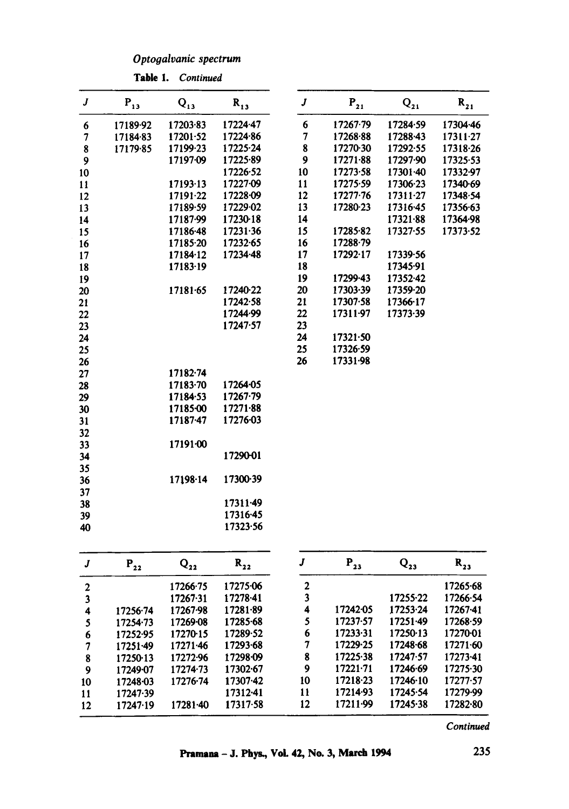*Optooalvanic spectrum* 

| J                        | $\mathbf{P_{13}}$ | $Q_{13}$ | $R_{13}$     | J                       | $\mathbf{P_{21}}$ | $\mathbf{Q_{21}}$ | $\mathbf{R_{21}}$ |
|--------------------------|-------------------|----------|--------------|-------------------------|-------------------|-------------------|-------------------|
| $\boldsymbol{6}$         | 17189.92          | 17203-83 | 17224-47     | 6                       | 17267-79          | 17284-59          | 17304-46          |
| $\overline{\phantom{a}}$ | 17184.83          | 17201-52 | 17224-86     | $\overline{7}$          | 17268.88          | 17288.43          | 17311.27          |
| 8                        | 17179.85          | 17199-23 | $17225 - 24$ | 8                       | 17270-30          | 17292-55          | 17318-26          |
| 9                        |                   | 17197-09 | 17225-89     | 9                       | 17271-88          | 17297.90          | 17325.53          |
| 10                       |                   |          | 17226-52     | 10                      | 17273.58          | 17301-40          | 17332.97          |
| 11                       |                   | 17193-13 | 17227-09     | 11                      | 17275.59          | 17306-23          | 17340-69          |
| 12                       |                   | 17191.22 | 17228-09     | 12                      | 17277-76          | $17311 - 27$      | 17348.54          |
| 13                       |                   | 17189-59 | 17229-02     | 13                      | 17280-23          | 17316-45          | 17356-63          |
| 14                       |                   | 17187.99 | 17230-18     | 14                      |                   | 17321-88          | 17364.98          |
| 15                       |                   | 17186.48 | 17231.36     | 15                      | 17285.82          | 17327-55          | 17373.52          |
| 16                       |                   | 17185.20 | 17232-65     | 16                      | 17288-79          |                   |                   |
| 17                       |                   | 17184-12 | 17234-48     | 17                      | 17292-17          | 17339-56          |                   |
| 18                       |                   | 17183-19 |              | 18                      |                   | 17345-91          |                   |
| 19                       |                   |          |              | 19                      | 17299.43          | 1735242           |                   |
| 20                       |                   | 17181-65 | 17240-22     | 20                      | 17303-39          | 17359-20          |                   |
| 21                       |                   |          | 17242.58     | 21                      | 17307.58          | 17366-17          |                   |
| 22                       |                   |          | 17244.99     | 22                      | 17311-97          | 17373-39          |                   |
| 23                       |                   |          | 17247.57     | 23                      |                   |                   |                   |
| 24                       |                   |          |              | 24                      | $17321 - 50$      |                   |                   |
| 25                       |                   |          |              | 25                      | 17326-59          |                   |                   |
| 26                       |                   |          |              | 26                      | 17331-98          |                   |                   |
| 27                       |                   | 17182.74 |              |                         |                   |                   |                   |
| 28                       |                   | 17183-70 | 17264-05     |                         |                   |                   |                   |
| 29                       |                   | 17184-53 | $17267 - 79$ |                         |                   |                   |                   |
| 30                       |                   | 17185-00 | 17271.88     |                         |                   |                   |                   |
| 31                       |                   | 17187-47 | 17276-03     |                         |                   |                   |                   |
| 32                       |                   |          |              |                         |                   |                   |                   |
| 33                       |                   | 17191-00 |              |                         |                   |                   |                   |
| 34                       |                   |          | 17290-01     |                         |                   |                   |                   |
| 35                       |                   |          |              |                         |                   |                   |                   |
| 36                       |                   | 17198-14 | 17300-39     |                         |                   |                   |                   |
| 37                       |                   |          |              |                         |                   |                   |                   |
| 38                       |                   |          | $17311 - 49$ |                         |                   |                   |                   |
| 39                       |                   |          | 17316.45     |                         |                   |                   |                   |
| 40                       |                   |          | 17323.56     |                         |                   |                   |                   |
| J                        | $P_{22}$          | $Q_{22}$ | $R_{22}$     | $\pmb{J}$               | $\mathbf{P_{13}}$ | $\mathbf{Q_{23}}$ | $\mathbf{R}_{23}$ |
|                          |                   | 17266.75 | 17275-06     | $\overline{\mathbf{c}}$ |                   |                   | 17265.68          |
| $\frac{2}{3}$            |                   | 17267.31 | 17278.41     | 3                       |                   | 17255-22          | 17266-54          |
| 4                        | $17256 - 74$      | 17267-98 | 17281-89     | $\ddot{\phantom{a}}$    | 17242-05          | 17253.24          | 17267-41          |
|                          | 17254-73          | 17269-08 | 17285-68     | 5                       | 17237-57          | 17251.49          | 17268-59          |
| $\frac{5}{6}$            | 17252-95          | 17270-15 | 17289-52     | 6                       | 17233.31          | 17250-13          | 17270-01          |
| 7                        | $17251 - 49$      | 17271.46 | 17293.68     | 7                       | 17229.25          | 17248.68          | 17271.60          |

Table 1. *Continued* 

**Pramna - J. Phys., VoL 42, No. 3, March 1994** 

9 17221.71 17246.69

8 17225.38 17247.57 17273.41<br>9 17221.71 17246.69 17275.30

10 17218"23 17246"10 17277"57 11 17214"93 17245.54 17279"99 12 17211"99 17245"38 17282.80

8 17250-13 17272-96 17298-09<br>9 17249-07 17274-73 17302-67 17249-07 17274-73 17302-67<br>17248-03 17276-74 17307-42 10 17248-03 17276-74 17307-42<br>11 17247-39 17312-41 11 17247.39 17312.41<br>12 17247.19 17281.40 17317.58

12 17247.19

235

*Continued*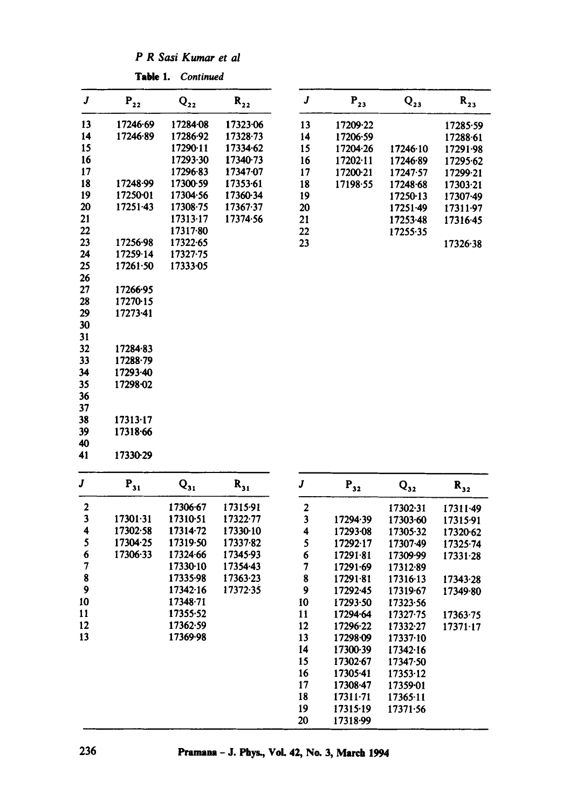*P R Sasi Kumar et al* 

|             | Table 1.                   | Continued         |                            |                         |                          |                          |                   |
|-------------|----------------------------|-------------------|----------------------------|-------------------------|--------------------------|--------------------------|-------------------|
| J           | $\mathbf{P}_{\mathbf{22}}$ | $\mathbf{Q_{22}}$ | $\mathbf{R}_{\mathbf{22}}$ | $\boldsymbol{J}$        | $P_{23}$                 | $Q_{23}$                 | $R_{23}$          |
| 13          | 17246-69                   | 17284-08          | 17323-06                   | 13                      | 17209-22                 |                          | 17285.59          |
| 14          | 17246.89                   | 17286.92          | 17328-73                   | 14                      | 17206.59                 |                          | 17288.61          |
| 15          |                            | 17290-11          | 17334.62                   | 15                      | 17204-26                 | 17246.10                 | 17291.98          |
| 16          |                            | 17293-30          | 17340.73                   | 16                      | $17202 \cdot 11$         | 17246.89                 | 17295.62          |
| 17          |                            | 17296-83          | 17347.07                   | 17                      | 17200-21                 | 17247.57                 | 17299-21          |
| 18          | 17248-99                   | 17300-59          | 17353-61                   | 18                      | 17198.55                 | 17248.68                 | 17303-21          |
| 19          | 17250-01                   | 17304.56          | 17360.34                   | 19                      |                          | 17250-13                 | 17307-49          |
| 20          | 17251-43                   | 17308-75          | 17367.37                   | 20                      |                          | 17251-49                 | 17311-97          |
| 21          |                            | 17313-17          | 17374.56                   | 21                      |                          | 17253-48                 | 17316.45          |
| 22          |                            | 17317.80          |                            | 22                      |                          | 17255-35                 |                   |
| 23          | 17256.98                   | 17322.65          |                            | 23                      |                          |                          | 17326.38          |
| 24          | 17259.14                   | 17327-75          |                            |                         |                          |                          |                   |
| 25          | 17261.50                   | 17333-05          |                            |                         |                          |                          |                   |
| 26          |                            |                   |                            |                         |                          |                          |                   |
| 27          | 17266-95                   |                   |                            |                         |                          |                          |                   |
| 28          | 17270-15                   |                   |                            |                         |                          |                          |                   |
| 29          | 17273-41                   |                   |                            |                         |                          |                          |                   |
| 30          |                            |                   |                            |                         |                          |                          |                   |
| 31          |                            |                   |                            |                         |                          |                          |                   |
| 32          | 17284.83                   |                   |                            |                         |                          |                          |                   |
| 33          | 17288.79                   |                   |                            |                         |                          |                          |                   |
| 34          | 17293.40                   |                   |                            |                         |                          |                          |                   |
| 35          | 17298-02                   |                   |                            |                         |                          |                          |                   |
| 36          |                            |                   |                            |                         |                          |                          |                   |
| 37          |                            |                   |                            |                         |                          |                          |                   |
| 38          | 17313.17                   |                   |                            |                         |                          |                          |                   |
| 39          | 17318.66                   |                   |                            |                         |                          |                          |                   |
| 40          |                            |                   |                            |                         |                          |                          |                   |
| 41          | 17330-29                   |                   |                            |                         |                          |                          |                   |
| J           | $\mathbf{P_{31}}$          | $\mathbf{Q_{31}}$ | $\mathbf{R}_{31}$          | J                       | $\mathbf{P}_{32}$        | $\mathbf{Q_{32}}$        | $\mathbf{R}_{32}$ |
| $\mathbf 2$ |                            | 17306-67          | 17315-91                   | 2                       |                          | 17302-31                 | 17311-49          |
| 3           | 17301.31                   | 17310-51          | 17322-77                   | $\overline{\mathbf{3}}$ | 17294.39                 | 17303.60                 | 17315-91          |
| 4           | 17302.58                   | 17314.72          | 17330-10                   | 4                       | 17293-08                 | 17305-32                 | 17320-62          |
| 5           | 17304-25                   | 17319.50          | 17337.82                   | 5                       | 17292.17                 | 17307-49                 | 17325.74          |
| 6           | 17306.33                   | 17324-66          | 17345-93                   | 6                       | 17291.81                 | 17309-99                 | 17331-28          |
| 7           |                            | 17330-10          | 17354.43                   | 7                       | 17291.69                 | 17312.89                 |                   |
| 8           |                            | 17335-98          | 17363.23                   | 8                       | 17291.81                 | 17316-13                 | 17343-28          |
| 9           |                            | 17342.16          | 17372-35                   | 9                       | 17292-45                 | 17319.67                 | 17349.80          |
| 10          |                            | 17348.71          |                            | 10                      | 17293-50                 | 17323.56                 |                   |
| 11          |                            | 17355-52          |                            | 11                      | 17294.64                 | 17327-75                 | 17363.75          |
| 12          |                            | 17362.59          |                            | 12                      | 17296-22                 | 17332-27                 | $17371-17$        |
| 13          |                            | 17369.98          |                            | 13                      | 17298.09                 | 17337·10                 |                   |
|             |                            |                   |                            | 14                      | 17300-39                 | 17342.16                 |                   |
|             |                            |                   |                            | 15                      | 17302-67                 | 17347.50                 |                   |
|             |                            |                   |                            | 16                      | 17305-41                 | 17353-12                 |                   |
|             |                            |                   |                            | 17                      | 17308.47                 | 17359-01                 |                   |
|             |                            |                   |                            |                         |                          |                          |                   |
|             |                            |                   |                            |                         |                          |                          |                   |
|             |                            |                   |                            | 18<br>19                | $17311 - 71$<br>17315.19 | $17365 - 11$<br>17371.56 |                   |

**236 Pranmua - J. Phys., VoL 42, No. 3, March 1994**